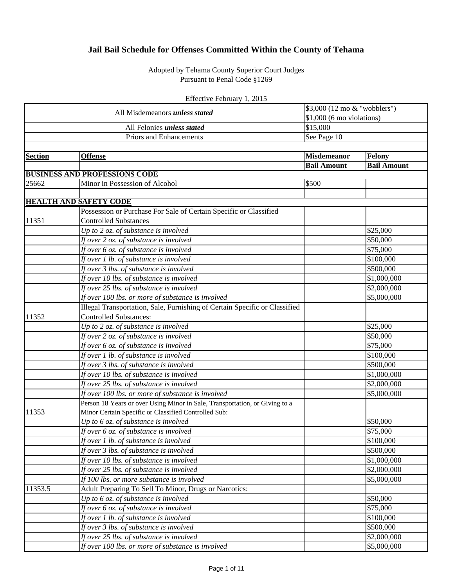## **Jail Bail Schedule for Offenses Committed Within the County of Tehama**

Adopted by Tehama County Superior Court Judges Pursuant to Penal Code §1269

| Effective February 1, 2015 |  |  |  |
|----------------------------|--|--|--|
|----------------------------|--|--|--|

| All Misdemeanors <i>unless stated</i> |                                                                             | \$3,000 (12 mo & "wobblers")<br>$$1,000$ (6 mo violations) |                    |
|---------------------------------------|-----------------------------------------------------------------------------|------------------------------------------------------------|--------------------|
|                                       | All Felonies unless stated                                                  | \$15,000                                                   |                    |
|                                       | Priors and Enhancements                                                     | See Page 10                                                |                    |
|                                       |                                                                             |                                                            |                    |
| <b>Section</b>                        | <b>Offense</b>                                                              | <b>Misdemeanor</b>                                         | <b>Felony</b>      |
|                                       |                                                                             | <b>Bail Amount</b>                                         | <b>Bail Amount</b> |
|                                       | <b>BUSINESS AND PROFESSIONS CODE</b>                                        |                                                            |                    |
| 25662                                 | Minor in Possession of Alcohol                                              | \$500                                                      |                    |
|                                       |                                                                             |                                                            |                    |
|                                       | <b>HEALTH AND SAFETY CODE</b>                                               |                                                            |                    |
|                                       | Possession or Purchase For Sale of Certain Specific or Classified           |                                                            |                    |
| 11351                                 | <b>Controlled Substances</b>                                                |                                                            |                    |
|                                       | Up to $2$ oz. of substance is involved                                      |                                                            | \$25,000           |
|                                       | If over 2 oz. of substance is involved                                      |                                                            | \$50,000           |
|                                       | If over 6 oz. of substance is involved                                      |                                                            | \$75,000           |
|                                       | If over 1 lb. of substance is involved                                      |                                                            | \$100,000          |
|                                       | If over 3 lbs. of substance is involved                                     |                                                            | \$500,000          |
|                                       | If over 10 lbs. of substance is involved                                    |                                                            | \$1,000,000        |
|                                       | If over 25 lbs. of substance is involved                                    |                                                            | \$2,000,000        |
|                                       | If over 100 lbs. or more of substance is involved                           |                                                            | \$5,000,000        |
|                                       | Illegal Transportation, Sale, Furnishing of Certain Specific or Classified  |                                                            |                    |
| 11352                                 | <b>Controlled Substances:</b>                                               |                                                            |                    |
|                                       | Up to $2$ oz. of substance is involved                                      |                                                            | \$25,000           |
|                                       | If over 2 oz. of substance is involved                                      |                                                            | \$50,000           |
|                                       | If over 6 oz. of substance is involved                                      |                                                            | \$75,000           |
|                                       | $\overline{If over I}$ lb. of substance is involved                         |                                                            | \$100,000          |
|                                       | If over 3 lbs. of substance is involved                                     |                                                            | \$500,000          |
|                                       | If over 10 lbs. of substance is involved                                    |                                                            | \$1,000,000        |
|                                       | If over 25 lbs. of substance is involved                                    |                                                            | \$2,000,000        |
|                                       | If over 100 lbs. or more of substance is involved                           |                                                            | \$5,000,000        |
|                                       | Person 18 Years or over Using Minor in Sale, Transportation, or Giving to a |                                                            |                    |
| 11353                                 | Minor Certain Specific or Classified Controlled Sub:                        |                                                            |                    |
|                                       | Up to $6$ oz. of substance is involved                                      |                                                            | \$50,000           |
|                                       | If over 6 oz. of substance is involved                                      |                                                            | \$75,000           |
|                                       | If over 1 lb. of substance is involved                                      |                                                            | \$100,000          |
|                                       | If over 3 lbs. of substance is involved                                     |                                                            | \$500,000          |
|                                       | If over 10 lbs. of substance is involved                                    |                                                            | \$1,000,000        |
|                                       | If over 25 lbs. of substance is involved                                    |                                                            | \$2,000,000        |
|                                       | If 100 lbs. or more substance is involved                                   |                                                            | \$5,000,000        |
| 11353.5                               | Adult Preparing To Sell To Minor, Drugs or Narcotics:                       |                                                            |                    |
|                                       | Up to $6$ oz. of substance is involved                                      |                                                            | \$50,000           |
|                                       | If over 6 oz. of substance is involved                                      |                                                            | \$75,000           |
|                                       | If over 1 lb. of substance is involved                                      |                                                            | \$100,000          |
|                                       | If over 3 lbs. of substance is involved                                     |                                                            | \$500,000          |
|                                       | If over 25 lbs. of substance is involved                                    |                                                            | \$2,000,000        |
|                                       | If over 100 lbs. or more of substance is involved                           |                                                            | \$5,000,000        |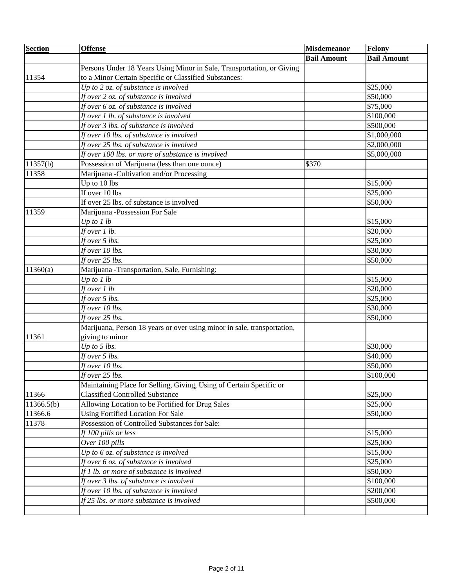| <b>Section</b> | <b>Offense</b>                                                          | <b>Misdemeanor</b> | <b>Felony</b>      |
|----------------|-------------------------------------------------------------------------|--------------------|--------------------|
|                |                                                                         | <b>Bail Amount</b> | <b>Bail Amount</b> |
|                | Persons Under 18 Years Using Minor in Sale, Transportation, or Giving   |                    |                    |
| 11354          | to a Minor Certain Specific or Classified Substances:                   |                    |                    |
|                | Up to $2$ oz. of substance is involved                                  |                    | \$25,000           |
|                | If over 2 oz. of substance is involved                                  |                    | \$50,000           |
|                | If over 6 oz. of substance is involved                                  |                    | \$75,000           |
|                | If over 1 lb. of substance is involved                                  |                    | \$100,000          |
|                | If over 3 lbs. of substance is involved                                 |                    | \$500,000          |
|                | If over 10 lbs. of substance is involved                                |                    | \$1,000,000        |
|                | If over 25 lbs. of substance is involved                                |                    | \$2,000,000        |
|                | If over 100 lbs. or more of substance is involved                       |                    | \$5,000,000        |
| 11357(b)       | Possession of Marijuana (less than one ounce)                           | \$370              |                    |
| 11358          | Marijuana -Cultivation and/or Processing                                |                    |                    |
|                | Up to 10 lbs                                                            |                    | \$15,000           |
|                | If over 10 lbs                                                          |                    | \$25,000           |
|                | If over 25 lbs. of substance is involved                                |                    | \$50,000           |
| 11359          | Marijuana -Possession For Sale                                          |                    |                    |
|                | Up to $1 lb$                                                            |                    | \$15,000           |
|                | If over 1 lb.                                                           |                    | \$20,000           |
|                | If over 5 lbs.                                                          |                    | \$25,000           |
|                | If over 10 lbs.                                                         |                    | \$30,000           |
|                | If over 25 lbs.                                                         |                    | \$50,000           |
| 11360(a)       | Marijuana -Transportation, Sale, Furnishing:                            |                    |                    |
|                | $\overline{Up\ to}\ l\ lb$                                              |                    | \$15,000           |
|                | If over $1 lb$                                                          |                    | \$20,000           |
|                | If over 5 lbs.                                                          |                    | \$25,000           |
|                | If over 10 lbs.                                                         |                    | \$30,000           |
|                | If over $25$ lbs.                                                       |                    | \$50,000           |
|                | Marijuana, Person 18 years or over using minor in sale, transportation, |                    |                    |
| 11361          | giving to minor                                                         |                    |                    |
|                | Up to $5$ lbs.                                                          |                    | \$30,000           |
|                | If over $5$ lbs.                                                        |                    | \$40,000           |
|                | If over 10 lbs.                                                         |                    | \$50,000           |
|                | If over 25 lbs.                                                         |                    | \$100,000          |
|                | Maintaining Place for Selling, Giving, Using of Certain Specific or     |                    |                    |
| 11366          | <b>Classified Controlled Substance</b>                                  |                    | \$25,000           |
| 11366.5(b)     | Allowing Location to be Fortified for Drug Sales                        |                    | \$25,000           |
| 11366.6        | <b>Using Fortified Location For Sale</b>                                |                    | \$50,000           |
| 11378          | Possession of Controlled Substances for Sale:                           |                    |                    |
|                | If 100 pills or less                                                    |                    | \$15,000           |
|                | Over 100 pills                                                          |                    | \$25,000           |
|                | Up to $6$ oz. of substance is involved                                  |                    | \$15,000           |
|                | If over 6 oz. of substance is involved                                  |                    | \$25,000           |
|                | If 1 lb. or more of substance is involved                               |                    | \$50,000           |
|                | If over 3 lbs. of substance is involved                                 |                    | \$100,000          |
|                | If over 10 lbs. of substance is involved                                |                    | \$200,000          |
|                | If 25 lbs. or more substance is involved                                |                    | \$500,000          |
|                |                                                                         |                    |                    |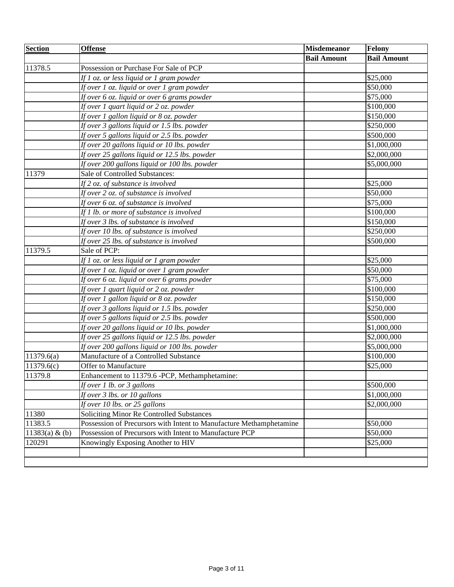| <b>Section</b> | <b>Offense</b>                                                      | <b>Misdemeanor</b> | <b>Felony</b>      |
|----------------|---------------------------------------------------------------------|--------------------|--------------------|
|                |                                                                     | <b>Bail Amount</b> | <b>Bail Amount</b> |
| 11378.5        | Possession or Purchase For Sale of PCP                              |                    |                    |
|                | If 1 oz. or less liquid or 1 gram powder                            |                    | \$25,000           |
|                | If over 1 oz. liquid or over 1 gram powder                          |                    | \$50,000           |
|                | If over 6 oz. liquid or over 6 grams powder                         |                    | \$75,000           |
|                | If over 1 quart liquid or 2 oz. powder                              |                    | \$100,000          |
|                | If over 1 gallon liquid or 8 oz. powder                             |                    | \$150,000          |
|                | If over 3 gallons liquid or 1.5 lbs. powder                         |                    | \$250,000          |
|                | If over 5 gallons liquid or 2.5 lbs. powder                         |                    | \$500,000          |
|                | If over 20 gallons liquid or 10 lbs. powder                         |                    | \$1,000,000        |
|                | If over 25 gallons liquid or 12.5 lbs. powder                       |                    | \$2,000,000        |
|                | If over 200 gallons liquid or 100 lbs. powder                       |                    | \$5,000,000        |
| 11379          | Sale of Controlled Substances:                                      |                    |                    |
|                | If 2 oz. of substance is involved                                   |                    | \$25,000           |
|                | If over 2 oz. of substance is involved                              |                    | \$50,000           |
|                | If over 6 oz. of substance is involved                              |                    | \$75,000           |
|                | If 1 lb. or more of substance is involved                           |                    | \$100,000          |
|                | If over 3 lbs. of substance is involved                             |                    | \$150,000          |
|                | If over 10 lbs. of substance is involved                            |                    | \$250,000          |
|                | If over 25 lbs. of substance is involved                            |                    | \$500,000          |
| 11379.5        | Sale of PCP:                                                        |                    |                    |
|                | If 1 oz. or less liquid or 1 gram powder                            |                    | \$25,000           |
|                | If over 1 oz. liquid or over 1 gram powder                          |                    | \$50,000           |
|                | If over 6 oz. liquid or over 6 grams powder                         |                    | \$75,000           |
|                | If over 1 quart liquid or 2 oz. powder                              |                    | \$100,000          |
|                | If over 1 gallon liquid or 8 oz. powder                             |                    | \$150,000          |
|                | If over 3 gallons liquid or 1.5 lbs. powder                         |                    | \$250,000          |
|                | If over 5 gallons liquid or 2.5 lbs. powder                         |                    | \$500,000          |
|                | If over 20 gallons liquid or 10 lbs. powder                         |                    | \$1,000,000        |
|                | If over 25 gallons liquid or 12.5 lbs. powder                       |                    | \$2,000,000        |
|                | If over 200 gallons liquid or 100 lbs. powder                       |                    | \$5,000,000        |
| 11379.6(a)     | Manufacture of a Controlled Substance                               |                    | \$100,000          |
| 11379.6(c)     | Offer to Manufacture                                                |                    | \$25,000           |
| 11379.8        | Enhancement to 11379.6 -PCP, Methamphetamine:                       |                    |                    |
|                | If over 1 lb. or 3 gallons                                          |                    | \$500,000          |
|                | If over 3 lbs. or 10 gallons                                        |                    | \$1,000,000        |
|                | If over 10 lbs. or 25 gallons                                       |                    | \$2,000,000        |
| 11380          | Soliciting Minor Re Controlled Substances                           |                    |                    |
| 11383.5        | Possession of Precursors with Intent to Manufacture Methamphetamine |                    | \$50,000           |
| 11383(a) & (b) | Possession of Precursors with Intent to Manufacture PCP             |                    | \$50,000           |
| 120291         | Knowingly Exposing Another to HIV                                   |                    | \$25,000           |
|                |                                                                     |                    |                    |
|                |                                                                     |                    |                    |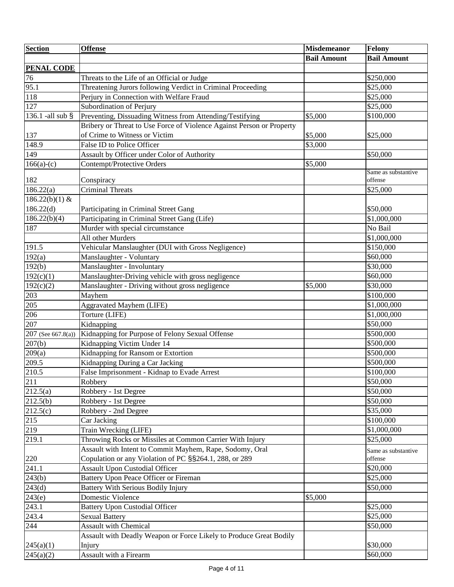| <b>Section</b>       | <b>Offense</b>                                                        | <b>Misdemeanor</b> | <b>Felony</b>       |
|----------------------|-----------------------------------------------------------------------|--------------------|---------------------|
|                      |                                                                       | <b>Bail Amount</b> | <b>Bail Amount</b>  |
| <b>PENAL CODE</b>    |                                                                       |                    |                     |
| 76                   | Threats to the Life of an Official or Judge                           |                    | \$250,000           |
| 95.1                 | Threatening Jurors following Verdict in Criminal Proceeding           |                    | \$25,000            |
| 118                  | Perjury in Connection with Welfare Fraud                              |                    | \$25,000            |
| 127                  | Subordination of Perjury                                              |                    | \$25,000            |
| 136.1 -all sub $\S$  | Preventing, Dissuading Witness from Attending/Testifying              | \$5,000            | \$100,000           |
|                      | Bribery or Threat to Use Force of Violence Against Person or Property |                    |                     |
| 137                  | of Crime to Witness or Victim                                         | \$5,000            | \$25,000            |
| 148.9                | False ID to Police Officer                                            | \$3,000            |                     |
| 149                  | Assault by Officer under Color of Authority                           |                    | \$50,000            |
| $166(a)-(c)$         | Contempt/Protective Orders                                            | \$5,000            |                     |
|                      |                                                                       |                    | Same as substantive |
| 182                  | Conspiracy                                                            |                    | offense             |
| 186.22(a)            | <b>Criminal Threats</b>                                               |                    | \$25,000            |
| $186.22(b)(1)$ &     |                                                                       |                    |                     |
| 186.22(d)            | Participating in Criminal Street Gang                                 |                    | \$50,000            |
| 186.22(b)(4)         | Participating in Criminal Street Gang (Life)                          |                    | \$1,000,000         |
| 187                  | Murder with special circumstance                                      |                    | No Bail             |
|                      | All other Murders                                                     |                    | \$1,000,000         |
| 191.5                | Vehicular Manslaughter (DUI with Gross Negligence)                    |                    | \$150,000           |
| 192(a)               | Manslaughter - Voluntary                                              |                    | \$60,000            |
| 192(b)               | Manslaughter - Involuntary                                            |                    | \$30,000            |
| 192(c)(1)            | Manslaughter-Driving vehicle with gross negligence                    |                    | \$60,000            |
| 192(c)(2)            | Manslaughter - Driving without gross negligence                       | \$5,000            | \$30,000            |
| 203                  | Mayhem                                                                |                    | \$100,000           |
| 205                  | <b>Aggravated Mayhem (LIFE)</b>                                       |                    | \$1,000,000         |
| 206                  | Torture (LIFE)                                                        |                    | \$1,000,000         |
| 207                  | Kidnapping                                                            |                    | \$50,000            |
| $207$ (See 667.8(a)) | Kidnapping for Purpose of Felony Sexual Offense                       |                    | \$500,000           |
| 207(b)               | Kidnapping Victim Under 14                                            |                    | \$500,000           |
| 209(a)               | Kidnapping for Ransom or Extortion                                    |                    | \$500,000           |
| 209.5                | Kidnapping During a Car Jacking                                       |                    | \$500,000           |
| $\overline{210.5}$   | False Imprisonment - Kidnap to Evade Arrest                           |                    | \$100,000           |
| 211                  | Robbery                                                               |                    | \$50,000            |
| 212.5(a)             | Robbery - 1st Degree                                                  |                    | \$50,000            |
| 212.5(b)             | Robbery - 1st Degree                                                  |                    | \$50,000            |
| 212.5(c)             | Robbery - 2nd Degree                                                  |                    | \$35,000            |
| 215                  | Car Jacking                                                           |                    | \$100,000           |
| 219                  | Train Wrecking (LIFE)                                                 |                    | \$1,000,000         |
| 219.1                | Throwing Rocks or Missiles at Common Carrier With Injury              |                    | \$25,000            |
|                      | Assault with Intent to Commit Mayhem, Rape, Sodomy, Oral              |                    | Same as substantive |
| 220                  | Copulation or any Violation of PC §§264.1, 288, or 289                |                    | offense             |
| 241.1                | <b>Assault Upon Custodial Officer</b>                                 |                    | \$20,000            |
| 243(b)               | <b>Battery Upon Peace Officer or Fireman</b>                          |                    | \$25,000            |
| $\overline{243}$ (d) | <b>Battery With Serious Bodily Injury</b>                             |                    | \$50,000            |
| 243(e)               | Domestic Violence                                                     | \$5,000            |                     |
| 243.1                | <b>Battery Upon Custodial Officer</b>                                 |                    | \$25,000            |
| 243.4                | <b>Sexual Battery</b>                                                 |                    | \$25,000            |
| 244                  | <b>Assault with Chemical</b>                                          |                    | \$50,000            |
|                      | Assault with Deadly Weapon or Force Likely to Produce Great Bodily    |                    |                     |
| 245(a)(1)            | Injury                                                                |                    | \$30,000            |
| $\sqrt{245(a)(2)}$   | Assault with a Firearm                                                |                    | \$60,000            |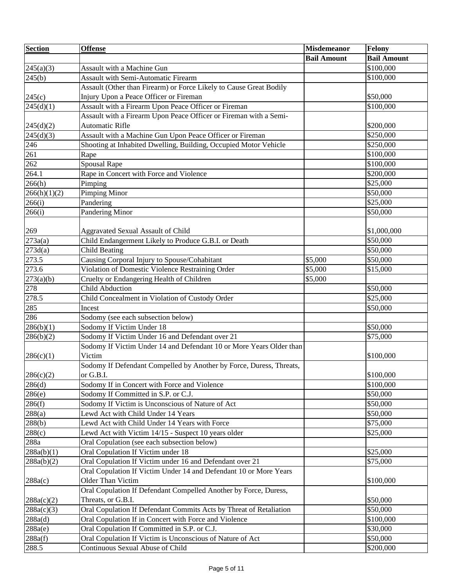| <b>Section</b>      | <b>Offense</b>                                                      | <b>Misdemeanor</b> | <b>Felony</b>      |
|---------------------|---------------------------------------------------------------------|--------------------|--------------------|
|                     |                                                                     | <b>Bail Amount</b> | <b>Bail Amount</b> |
| 245(a)(3)           | Assault with a Machine Gun                                          |                    | \$100,000          |
| $\overline{2}45(b)$ | <b>Assault with Semi-Automatic Firearm</b>                          |                    | \$100,000          |
|                     | Assault (Other than Firearm) or Force Likely to Cause Great Bodily  |                    |                    |
| 245(c)              | Injury Upon a Peace Officer or Fireman                              |                    | \$50,000           |
| 245(d)(1)           | Assault with a Firearm Upon Peace Officer or Fireman                |                    | \$100,000          |
|                     | Assault with a Firearm Upon Peace Officer or Fireman with a Semi-   |                    |                    |
| 245(d)(2)           | <b>Automatic Rifle</b>                                              |                    | \$200,000          |
| 245(d)(3)           | Assault with a Machine Gun Upon Peace Officer or Fireman            |                    | \$250,000          |
| 246                 | Shooting at Inhabited Dwelling, Building, Occupied Motor Vehicle    |                    | \$250,000          |
| 261                 | Rape                                                                |                    | \$100,000          |
| 262                 | <b>Spousal Rape</b>                                                 |                    | \$100,000          |
| 264.1               | Rape in Concert with Force and Violence                             |                    | \$200,000          |
| 266(h)              | Pimping                                                             |                    | \$25,000           |
| 266(h)(1)(2)        | <b>Pimping Minor</b>                                                |                    | \$50,000           |
| 266(i)              | Pandering                                                           |                    | \$25,000           |
| 266(i)              | Pandering Minor                                                     |                    | \$50,000           |
|                     |                                                                     |                    |                    |
| 269                 | Aggravated Sexual Assault of Child                                  |                    | \$1,000,000        |
| 273a(a)             | Child Endangerment Likely to Produce G.B.I. or Death                |                    | \$50,000           |
| 273d(a)             | <b>Child Beating</b>                                                |                    | \$50,000           |
| 273.5               | Causing Corporal Injury to Spouse/Cohabitant                        | \$5,000            | \$50,000           |
| 273.6               | Violation of Domestic Violence Restraining Order                    | \$5,000            | \$15,000           |
| 273(a)(b)           | Cruelty or Endangering Health of Children                           | \$5,000            |                    |
| 278                 | <b>Child Abduction</b>                                              |                    | \$50,000           |
| 278.5               | Child Concealment in Violation of Custody Order                     |                    | \$25,000           |
| 285                 | Incest                                                              |                    | \$50,000           |
| 286                 | Sodomy (see each subsection below)                                  |                    |                    |
| 286(b)(1)           | Sodomy If Victim Under 18                                           |                    | \$50,000           |
| 286(b)(2)           | Sodomy If Victim Under 16 and Defendant over 21                     |                    | \$75,000           |
|                     | Sodomy If Victim Under 14 and Defendant 10 or More Years Older than |                    |                    |
| 286(c)(1)           | Victim                                                              |                    | \$100,000          |
|                     | Sodomy If Defendant Compelled by Another by Force, Duress, Threats, |                    |                    |
| 286(c)(2)           | or G.B.I.                                                           |                    | \$100,000          |
| 286(d)              | Sodomy If in Concert with Force and Violence                        |                    | \$100,000          |
| 286(e)              | Sodomy If Committed in S.P. or C.J.                                 |                    | \$50,000           |
| 286(f)              | Sodomy If Victim is Unconscious of Nature of Act                    |                    | \$50,000           |
| 288(a)              | Lewd Act with Child Under 14 Years                                  |                    | \$50,000           |
| 288(b)              | Lewd Act with Child Under 14 Years with Force                       |                    | \$75,000           |
| 288(c)              | Lewd Act with Victim 14/15 - Suspect 10 years older                 |                    | \$25,000           |
| 288a                | Oral Copulation (see each subsection below)                         |                    |                    |
| 288a(b)(1)          | Oral Copulation If Victim under 18                                  |                    | \$25,000           |
| 288a(b)(2)          | Oral Copulation If Victim under 16 and Defendant over 21            |                    | \$75,000           |
|                     | Oral Copulation If Victim Under 14 and Defendant 10 or More Years   |                    |                    |
| 288a(c)             | Older Than Victim                                                   |                    | \$100,000          |
|                     | Oral Copulation If Defendant Compelled Another by Force, Duress,    |                    |                    |
| 288a(c)(2)          | Threats, or G.B.I.                                                  |                    | \$50,000           |
| 288a(c)(3)          | Oral Copulation If Defendant Commits Acts by Threat of Retaliation  |                    | \$50,000           |
| 288a(d)             | Oral Copulation If in Concert with Force and Violence               |                    | \$100,000          |
| 288a(e)             | Oral Copulation If Committed in S.P. or C.J.                        |                    | \$30,000           |
| 288a(f)             | Oral Copulation If Victim is Unconscious of Nature of Act           |                    | \$50,000           |
| 288.5               | Continuous Sexual Abuse of Child                                    |                    | \$200,000          |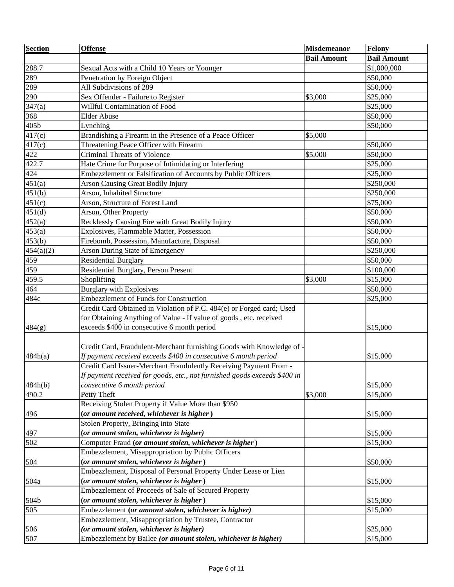| <b>Section</b> | <b>Offense</b>                                                            | <b>Misdemeanor</b> | <b>Felony</b>      |
|----------------|---------------------------------------------------------------------------|--------------------|--------------------|
|                |                                                                           | <b>Bail Amount</b> | <b>Bail Amount</b> |
| 288.7          | Sexual Acts with a Child 10 Years or Younger                              |                    | \$1,000,000        |
| 289            | Penetration by Foreign Object                                             |                    | \$50,000           |
| 289            | All Subdivisions of 289                                                   |                    | \$50,000           |
| 290            | Sex Offender - Failure to Register                                        | \$3,000            | \$25,000           |
| 347(a)         | Willful Contamination of Food                                             |                    | \$25,000           |
| 368            | <b>Elder Abuse</b>                                                        |                    | \$50,000           |
| 405b           | Lynching                                                                  |                    | \$50,000           |
| 417(c)         | Brandishing a Firearm in the Presence of a Peace Officer                  | \$5,000            |                    |
| 417(c)         | Threatening Peace Officer with Firearm                                    |                    | \$50,000           |
| 422            | <b>Criminal Threats of Violence</b>                                       | \$5,000            | \$50,000           |
| 422.7          | Hate Crime for Purpose of Intimidating or Interfering                     |                    | \$25,000           |
| 424            | Embezzlement or Falsification of Accounts by Public Officers              |                    | \$25,000           |
| 451(a)         | <b>Arson Causing Great Bodily Injury</b>                                  |                    | \$250,000          |
| 451(b)         | Arson, Inhabited Structure                                                |                    | \$250,000          |
| 451(c)         | Arson, Structure of Forest Land                                           |                    | \$75,000           |
| 451(d)         | Arson, Other Property                                                     |                    | \$50,000           |
| 452(a)         | Recklessly Causing Fire with Great Bodily Injury                          |                    | \$50,000           |
| 453(a)         | Explosives, Flammable Matter, Possession                                  |                    | \$50,000           |
| 453(b)         | Firebomb, Possession, Manufacture, Disposal                               |                    | \$50,000           |
| 454(a)(2)      | <b>Arson During State of Emergency</b>                                    |                    | \$250,000          |
| 459            | <b>Residential Burglary</b>                                               |                    | \$50,000           |
| 459            | Residential Burglary, Person Present                                      |                    | \$100,000          |
| 459.5          | Shoplifting                                                               | \$3,000            | \$15,000           |
| 464            | <b>Burglary with Explosives</b>                                           |                    | \$50,000           |
| 484c           | <b>Embezzlement of Funds for Construction</b>                             |                    | \$25,000           |
|                | Credit Card Obtained in Violation of P.C. 484(e) or Forged card; Used     |                    |                    |
|                | for Obtaining Anything of Value - If value of goods, etc. received        |                    |                    |
| 484(g)         | exceeds \$400 in consecutive 6 month period                               |                    | \$15,000           |
|                |                                                                           |                    |                    |
|                | Credit Card, Fraudulent-Merchant furnishing Goods with Knowledge of -     |                    |                    |
| 484h(a)        | If payment received exceeds \$400 in consecutive 6 month period           |                    | \$15,000           |
|                | Credit Card Issuer-Merchant Fraudulently Receiving Payment From -         |                    |                    |
|                | If payment received for goods, etc., not furnished goods exceeds \$400 in |                    |                    |
| 484h(b)        | consecutive 6 month period                                                |                    | \$15,000           |
| 490.2          | Petty Theft                                                               | \$3,000            | \$15,000           |
|                | Receiving Stolen Property if Value More than \$950                        |                    |                    |
| 496            | (or amount received, whichever is higher)                                 |                    | \$15,000           |
|                | Stolen Property, Bringing into State                                      |                    |                    |
| 497            | (or amount stolen, whichever is higher)                                   |                    | \$15,000           |
| 502            | Computer Fraud (or amount stolen, whichever is higher)                    |                    | \$15,000           |
|                | Embezzlement, Misappropriation by Public Officers                         |                    |                    |
| 504            | (or amount stolen, whichever is higher)                                   |                    | \$50,000           |
|                | Embezzlement, Disposal of Personal Property Under Lease or Lien           |                    |                    |
| 504a           | (or amount stolen, whichever is higher)                                   |                    | \$15,000           |
|                | Embezzlement of Proceeds of Sale of Secured Property                      |                    |                    |
| 504b           | (or amount stolen, whichever is higher)                                   |                    | \$15,000           |
| 505            | Embezzlement (or amount stolen, whichever is higher)                      |                    | \$15,000           |
|                | Embezzlement, Misappropriation by Trustee, Contractor                     |                    |                    |
| 506            | (or amount stolen, whichever is higher)                                   |                    | \$25,000           |
| 507            | Embezzlement by Bailee (or amount stolen, whichever is higher)            |                    | \$15,000           |
|                |                                                                           |                    |                    |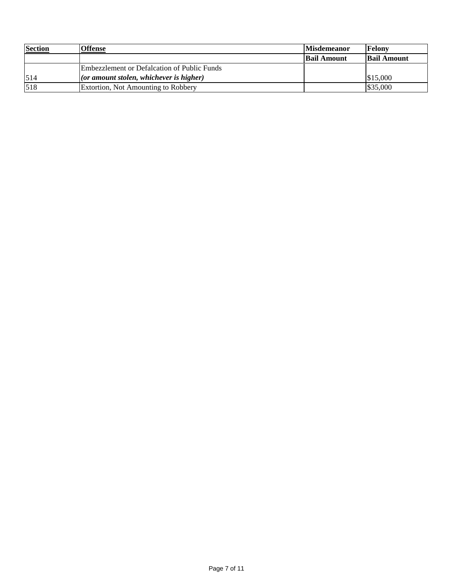| <b>Section</b> | <b>Offense</b>                              | <b>Misdemeanor</b> | Felony             |
|----------------|---------------------------------------------|--------------------|--------------------|
|                |                                             | <b>Bail Amount</b> | <b>Bail Amount</b> |
|                | Embezzlement or Defalcation of Public Funds |                    |                    |
| 514            | $ $ (or amount stolen, whichever is higher) |                    | \$15,000           |
| 518            | Extortion, Not Amounting to Robbery         |                    | \$35,000           |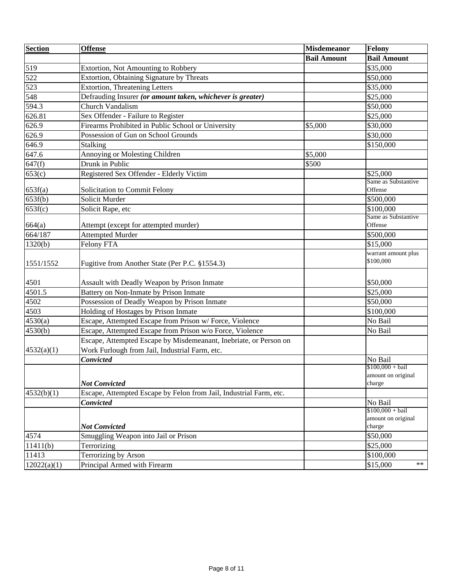| <b>Section</b> | <b>Offense</b>                                                                        | <b>Misdemeanor</b> | Felony                           |
|----------------|---------------------------------------------------------------------------------------|--------------------|----------------------------------|
|                |                                                                                       | <b>Bail Amount</b> | <b>Bail Amount</b>               |
| 519            | Extortion, Not Amounting to Robbery                                                   |                    | \$35,000                         |
| 522            | Extortion, Obtaining Signature by Threats                                             |                    | \$50,000                         |
| 523            | <b>Extortion, Threatening Letters</b>                                                 |                    | \$35,000                         |
| 548            | Defrauding Insurer (or amount taken, whichever is greater)                            |                    | \$25,000                         |
| 594.3          | Church Vandalism                                                                      |                    | \$50,000                         |
| 626.81         | Sex Offender - Failure to Register                                                    |                    | \$25,000                         |
| 626.9          | Firearms Prohibited in Public School or University                                    | \$5,000            | \$30,000                         |
| 626.9          | Possession of Gun on School Grounds                                                   |                    | \$30,000                         |
| 646.9          | Stalking                                                                              |                    | \$150,000                        |
| 647.6          | Annoying or Molesting Children                                                        | \$5,000            |                                  |
| 647(f)         | Drunk in Public                                                                       | \$500              |                                  |
| 653(c)         | Registered Sex Offender - Elderly Victim                                              |                    | \$25,000                         |
|                |                                                                                       |                    | Same as Substantive              |
| 653f(a)        | Solicitation to Commit Felony                                                         |                    | Offense                          |
| 653f(b)        | Solicit Murder                                                                        |                    | \$500,000                        |
| 653f(c)        | Solicit Rape, etc                                                                     |                    | \$100,000<br>Same as Substantive |
| 664(a)         | Attempt (except for attempted murder)                                                 |                    | Offense                          |
| 664/187        | <b>Attempted Murder</b>                                                               |                    | \$500,000                        |
| 1320(b)        | Felony FTA                                                                            |                    | \$15,000                         |
|                |                                                                                       |                    | warrant amount plus              |
| 1551/1552      | Fugitive from Another State (Per P.C. §1554.3)                                        |                    | \$100,000                        |
| 4501           |                                                                                       |                    | \$50,000                         |
| 4501.5         | Assault with Deadly Weapon by Prison Inmate<br>Battery on Non-Inmate by Prison Inmate |                    | \$25,000                         |
| 4502           | Possession of Deadly Weapon by Prison Inmate                                          |                    |                                  |
| 4503           | Holding of Hostages by Prison Inmate                                                  |                    | \$50,000                         |
| 4530(a)        | Escape, Attempted Escape from Prison w/ Force, Violence                               |                    | \$100,000<br>No Bail             |
| 4530(b)        | Escape, Attempted Escape from Prison w/o Force, Violence                              |                    | No Bail                          |
|                | Escape, Attempted Escape by Misdemeanant, Inebriate, or Person on                     |                    |                                  |
|                | Work Furlough from Jail, Industrial Farm, etc.                                        |                    |                                  |
| 4532(a)(1)     | <b>Convicted</b>                                                                      |                    | No Bail                          |
|                |                                                                                       |                    | $$100,000 + bail$                |
|                |                                                                                       |                    | amount on original               |
|                | <b>Not Convicted</b>                                                                  |                    | charge                           |
| 4532(b)(1)     | Escape, Attempted Escape by Felon from Jail, Industrial Farm, etc.                    |                    |                                  |
|                | Convicted                                                                             |                    | No Bail                          |
|                |                                                                                       |                    | $$100,000 + bail$                |
|                | <b>Not Convicted</b>                                                                  |                    | amount on original<br>charge     |
| 4574           | Smuggling Weapon into Jail or Prison                                                  |                    | \$50,000                         |
| 11411(b)       | Terrorizing                                                                           |                    | \$25,000                         |
|                | Terrorizing by Arson                                                                  |                    |                                  |
| 11413          |                                                                                       |                    | \$100,000<br>$***$               |
| 12022(a)(1)    | Principal Armed with Firearm                                                          |                    | \$15,000                         |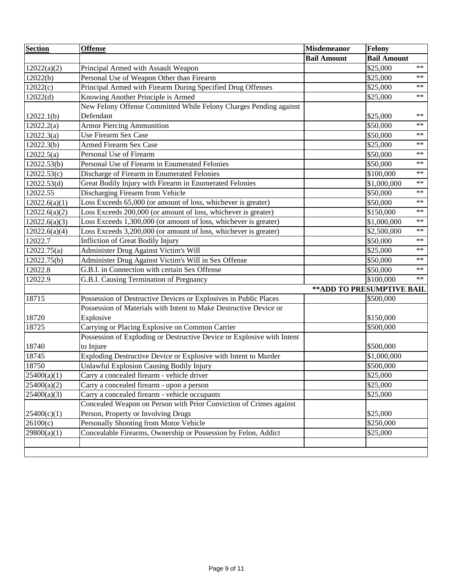| <b>Section</b> | <b>Offense</b>                                                         | <b>Misdemeanor</b> | <b>Felony</b>                  |
|----------------|------------------------------------------------------------------------|--------------------|--------------------------------|
|                |                                                                        | <b>Bail Amount</b> | <b>Bail Amount</b>             |
| 12022(a)(2)    | Principal Armed with Assault Weapon                                    |                    | $***$<br>\$25,000              |
| 12022(b)       | Personal Use of Weapon Other than Firearm                              |                    | \$25,000<br>$***$              |
| 12022(c)       | Principal Armed with Firearm During Specified Drug Offenses            |                    | \$25,000<br>$\ast\ast$         |
| 12022(d)       | Knowing Another Principle is Armed                                     |                    | $***$<br>\$25,000              |
|                | New Felony Offense Committed While Felony Charges Pending against      |                    |                                |
| 12022.1(b)     | Defendant                                                              |                    | $***$<br>\$25,000              |
| 12022.2(a)     | <b>Armor Piercing Ammunition</b>                                       |                    | $\ast\ast$<br>\$50,000         |
| 12022.3(a)     | <b>Use Firearm Sex Case</b>                                            |                    | \$50,000<br>$\ast\ast$         |
| 12022.3(b)     | <b>Armed Firearm Sex Case</b>                                          |                    | \$25,000<br>$***$              |
| 12022.5(a)     | Personal Use of Firearm                                                |                    | $\ast$ $\ast$<br>\$50,000      |
| 12022.53(b)    | Personal Use of Firearm in Enumerated Felonies                         |                    | $***$<br>\$50,000              |
| 12022.53(c)    | Discharge of Firearm in Enumerated Felonies                            |                    | $***$<br>\$100,000             |
| 12022.53(d)    | Great Bodily Injury with Firearm in Enumerated Felonies                |                    | \$1,000,000<br>$\star$ $\star$ |
| 12022.55       | Discharging Firearm from Vehicle                                       |                    | $\ast\ast$<br>\$50,000         |
| 12022.6(a)(1)  | Loss Exceeds 65,000 (or amount of loss, whichever is greater)          |                    | $\ast\ast$<br>\$50,000         |
| 12022.6(a)(2)  | Loss Exceeds 200,000 (or amount of loss, whichever is greater)         |                    | $\star\,\star$<br>\$150,000    |
| 12022.6(a)(3)  | Loss Exceeds 1,300,000 (or amount of loss, whichever is greater)       |                    | $\star$ $\star$<br>\$1,000,000 |
| 12022.6(a)(4)  | Loss Exceeds 3,200,000 (or amount of loss, whichever is greater)       |                    | $\ast$ $\ast$<br>\$2,500,000   |
| 12022.7        | <b>Infliction of Great Bodily Injury</b>                               |                    | $\ast\ast$<br>\$50,000         |
| 12022.75(a)    | Administer Drug Against Victim's Will                                  |                    | \$25,000<br>$\ast\ast$         |
| 12022.75(b)    | Administer Drug Against Victim's Will in Sex Offense                   |                    | \$50,000<br>$***$              |
| 12022.8        | G.B.I. in Connection with certain Sex Offense                          |                    | \$50,000<br>$***$              |
| 12022.9        | G.B.I. Causing Termination of Pregnancy                                |                    | $***$<br>\$100,000             |
|                |                                                                        |                    | ** ADD TO PRESUMPTIVE BAIL     |
| 18715          | Possession of Destructive Devices or Explosives in Public Places       |                    | \$500,000                      |
|                | Possession of Materials with Intent to Make Destructive Device or      |                    |                                |
| 18720          | Explosive                                                              |                    | \$150,000                      |
| 18725          | Carrying or Placing Explosive on Common Carrier                        |                    | \$500,000                      |
|                | Possession of Exploding or Destructive Device or Explosive with Intent |                    |                                |
| 18740          | to Injure                                                              |                    | \$500,000                      |
| 18745          | Exploding Destructive Device or Explosive with Intent to Murder        |                    | \$1,000,000                    |
| 18750          | Unlawful Explosion Causing Bodily Injury                               |                    | \$500,000                      |
| 25400(a)(1)    | Carry a concealed firearm - vehicle driver                             |                    | \$25,000                       |
| 25400(a)(2)    | Carry a concealed firearm - upon a person                              |                    | \$25,000                       |
| 25400(a)(3)    | Carry a concealed firearm - vehicle occupants                          |                    | \$25,000                       |
|                | Concealed Weapon on Person with Prior Conviction of Crimes against     |                    |                                |
| 25400(c)(1)    | Person, Property or Involving Drugs                                    |                    | \$25,000                       |
| 26100(c)       | Personally Shooting from Motor Vehicle                                 |                    | \$250,000                      |
| 29800(a)(1)    | Concealable Firearms, Ownership or Possession by Felon, Addict         |                    | \$25,000                       |
|                |                                                                        |                    |                                |
|                |                                                                        |                    |                                |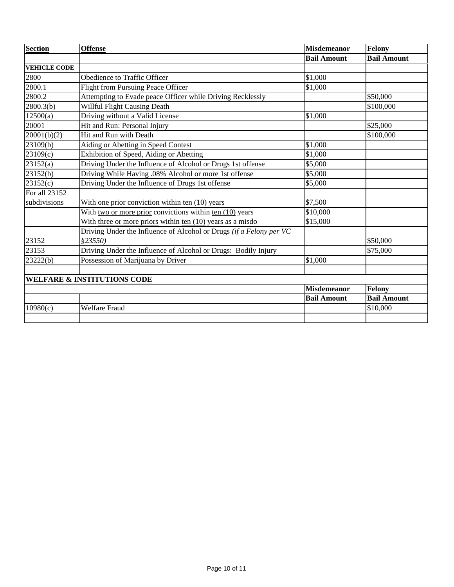| <b>Section</b>      | <b>Offense</b>                                                      | <b>Misdemeanor</b> | <b>Felony</b>      |
|---------------------|---------------------------------------------------------------------|--------------------|--------------------|
|                     |                                                                     | <b>Bail Amount</b> | <b>Bail Amount</b> |
| <b>VEHICLE CODE</b> |                                                                     |                    |                    |
| 2800                | Obedience to Traffic Officer                                        | \$1,000            |                    |
| 2800.1              | Flight from Pursuing Peace Officer                                  | \$1,000            |                    |
| 2800.2              | Attempting to Evade peace Officer while Driving Recklessly          |                    | \$50,000           |
| 2800.3(b)           | Willful Flight Causing Death                                        |                    | \$100,000          |
| 12500(a)            | Driving without a Valid License                                     | \$1,000            |                    |
| 20001               | Hit and Run: Personal Injury                                        |                    | \$25,000           |
| 20001(b)(2)         | Hit and Run with Death                                              |                    | \$100,000          |
| 23109(b)            | Aiding or Abetting in Speed Contest                                 | \$1,000            |                    |
| 23109(c)            | Exhibition of Speed, Aiding or Abetting                             | \$1,000            |                    |
| 23152(a)            | Driving Under the Influence of Alcohol or Drugs 1st offense         | \$5,000            |                    |
| 23152(b)            | Driving While Having .08% Alcohol or more 1st offense               | \$5,000            |                    |
| 23152(c)            | Driving Under the Influence of Drugs 1st offense                    | \$5,000            |                    |
| For all 23152       |                                                                     |                    |                    |
| subdivisions        | With one prior conviction within $ten(10)$ years                    | \$7,500            |                    |
|                     | With two or more prior convictions within ten (10) years            | \$10,000           |                    |
|                     | With three or more priors within ten $(10)$ years as a misdo        | \$15,000           |                    |
|                     | Driving Under the Influence of Alcohol or Drugs (if a Felony per VC |                    |                    |
| 23152               | \$23550)                                                            |                    | \$50,000           |
| 23153               | Driving Under the Influence of Alcohol or Drugs: Bodily Injury      |                    | \$75,000           |
| 23222(b)            | Possession of Marijuana by Driver                                   | \$1,000            |                    |
|                     |                                                                     |                    |                    |
|                     | <b>WELFARE &amp; INSTITUTIONS CODE</b>                              |                    |                    |
|                     |                                                                     | <b>Misdemeanor</b> | Felony             |
|                     |                                                                     | <b>Bail Amount</b> | <b>Bail Amount</b> |
| 10980(c)            | <b>Welfare Fraud</b>                                                |                    | \$10,000           |
|                     |                                                                     |                    |                    |